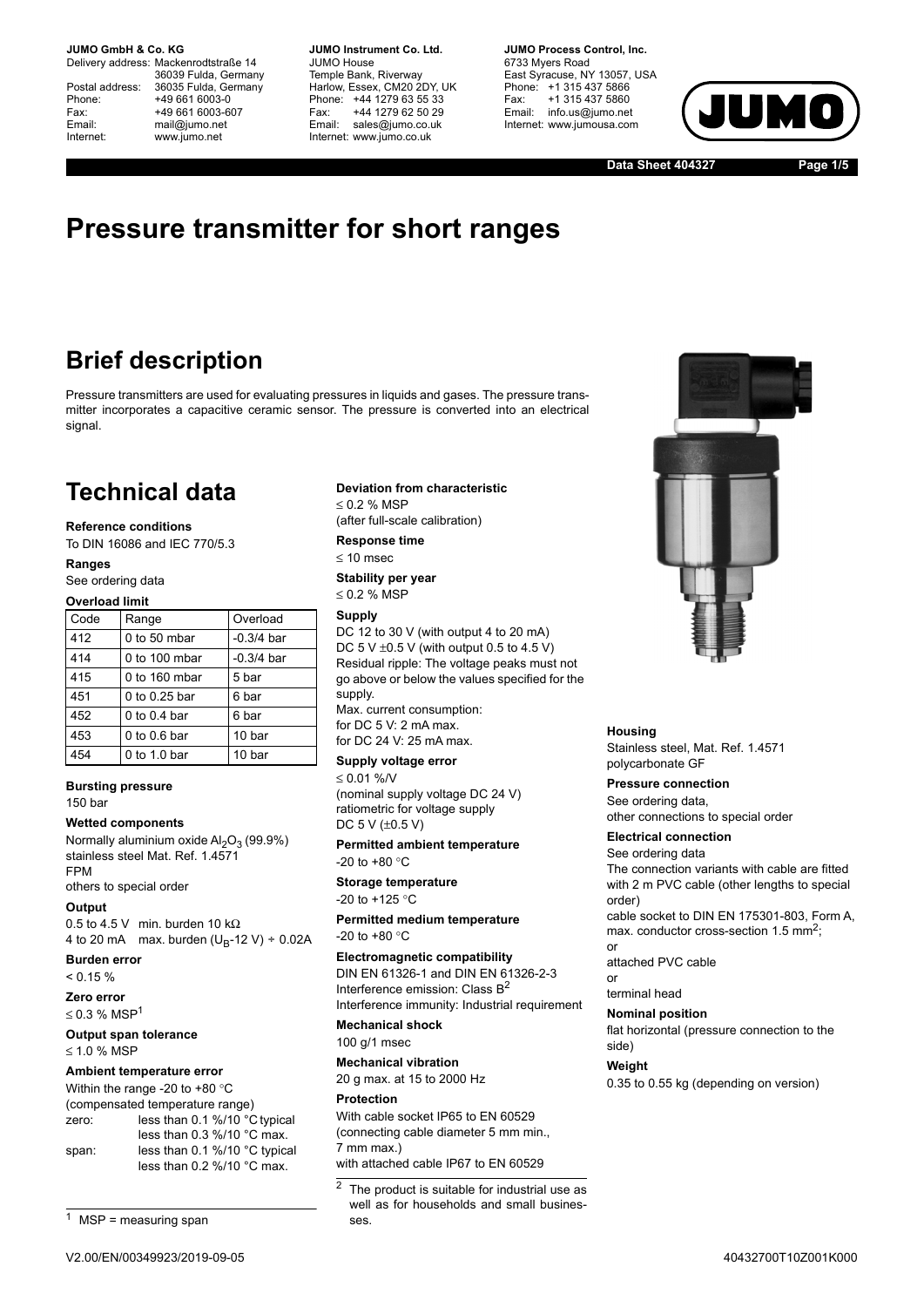**JUMO GmbH & Co. KG.** 

Delivery address: Mackenrodtstraße 14 36039 Fulda, Germany Postal address: 36035 Fulda, Germany<br>Phone: +49 661 6003-0 Phone: +49 661 6003-0<br>Fax: +49 661 6003-6 Fax: +49 661 6003-607<br>
Fmail: mail@iumo.net mail@iumo.net Internet: www.jumo.net

**-BUMO Instrument Co. Ltd.** JUMO House Temple Bank, Riverway Harlow, Essex, CM20 2DY, UK Phone: +44 1279 63 55 33<br>Fax: +44 1279 62 50 29 +44 1279 62 50 29 Email: sales@jumo.co.uk Internet: www.jumo.co.uk

**-BURG Process Control Inc.** 6733 Myers Road East Syracuse, NY 13057, USA Phone: +1 315 437 5866<br>Fax: +1 315 437 5860 +1 315 437 5860 Email: info.us@jumo.net Internet: www.jumousa.com



**Data Sheet 404327 Page 1/5**

# **Pressure transmitter for short ranges**

## **Brief description**

Pressure transmitters are used for evaluating pressures in liquids and gases. The pressure transmitter incorporates a capacitive ceramic sensor. The pressure is converted into an electrical signal.

## **Technical data**

#### **Reference conditions**

To DIN 16086 and IEC 770/5.3

### **Ranges**

See ordering data

**Overload limit**

| Code | Range            | Overload     |
|------|------------------|--------------|
| 412  | $0$ to 50 mbar   | $-0.3/4$ bar |
| 414  | $0$ to 100 mbar  | $-0.3/4$ bar |
| 415  | $0$ to 160 mbar  | 5 bar        |
| 451  | 0 to 0.25 bar    | 6 bar        |
| 452  | 0 to $0.4$ bar   | 6 bar        |
| 453  | $0$ to $0.6$ bar | 10 bar       |
| 454  | 0 to 1.0 bar     | 10 bar       |

### **Bursting pressure**

150 bar

## **Wetted components**

Normally aluminium oxide  $Al_2O_3$  (99.9%) stainless steel Mat. Ref. 1.4571 FPM

others to special order

## **Output**

0.5 to 4.5 V min. burden 10 k $\Omega$ 4 to 20 mA max. burden  $(U_B-12 V) \div 0.02A$ 

**Burden error**

 $< 0.15 %$ 

**Zero error**  $\leq$  0.3 % MSP<sup>1</sup>

### **Output span tolerance**  $\leq 1.0$  % MSP

### **Ambient temperature error**

| Within the range -20 to +80 $^{\circ}$ C |                               |  |  |  |  |  |  |  |  |
|------------------------------------------|-------------------------------|--|--|--|--|--|--|--|--|
| (compensated temperature range)          |                               |  |  |  |  |  |  |  |  |
| zero:                                    | less than 0.1 %/10 °C typical |  |  |  |  |  |  |  |  |
|                                          | less than $0.3\%$ /10 °C max. |  |  |  |  |  |  |  |  |
| span:                                    | less than 0.1 %/10 °C typical |  |  |  |  |  |  |  |  |
|                                          | less than $0.2\%$ /10 °C max. |  |  |  |  |  |  |  |  |

 $1$  MSP = measuring span

#### **Deviation from characteristic**

 $\leq$  0.2 % MSP (after full-scale calibration)

**Response time**

 $< 10$  msec

**Stability per year**  $\leq$  0.2 % MSP

**Supply**

DC 12 to 30 V (with output 4 to 20 mA) DC 5 V  $\pm$ 0.5 V (with output 0.5 to 4.5 V) Residual ripple: The voltage peaks must not go above or below the values specified for the supply. Max. current consumption: for DC 5 V: 2 mA max. for DC 24 V: 25 mA max.

**Supply voltage error**

 $\leq 0.01$  %/V (nominal supply voltage DC 24 V) ratiometric for voltage supply DC  $5$  V ( $\pm$ 0.5 V)

**Permitted ambient temperature** -20 to  $+80 °C$ 

**Storage temperature** -20 to  $+125$  °C

**Permitted medium temperature** -20 to  $+80 °C$ 

**Electromagnetic compatibility** DIN EN 61326-1 and DIN EN 61326-2-3 Interference emission: Class B<sup>2</sup> Interference immunity: Industrial requirement

**Mechanical shock** 100 g/1 msec

**Mechanical vibration** 20 g max. at 15 to 2000 Hz

**Protection** With cable socket IP65 to EN 60529

(connecting cable diameter 5 mm min., 7 mm max.) with attached cable IP67 to EN 60529



#### **Housing**

Stainless steel, Mat. Ref. 1.4571 polycarbonate GF

**Pressure connection**

See ordering data, other connections to special order

## **Electrical connection**

See ordering data The connection variants with cable are fitted with 2 m PVC cable (other lengths to special order)

cable socket to DIN EN 175301-803, Form A, max. conductor cross-section 1.5 mm<sup>2</sup>; or

attached PVC cable

or terminal head

## **Nominal position**

flat horizontal (pressure connection to the side)

### **Weight**

0.35 to 0.55 kg (depending on version)

 $\overline{2}$  The product is suitable for industrial use as well as for households and small businesses.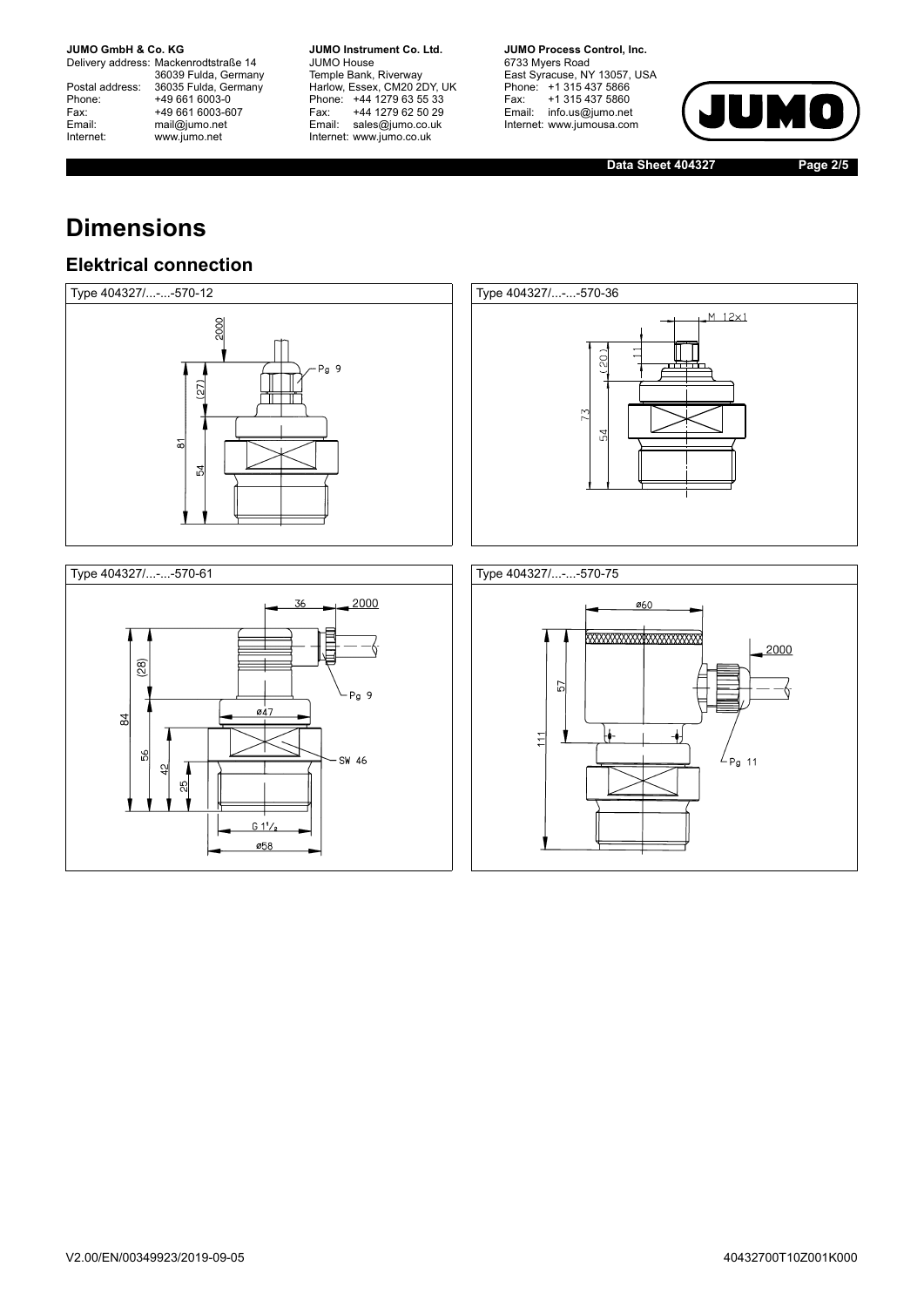**JUMO GmbH & Co. KG** 

Delivery address: Mackenrodtstraße 14 36039 Fulda, Germany<br>Postal address: 36035 Fulda, Germany Phone: +49 661 6003-0<br>
Fax: +49 661 6003-6<br>
Email: mail@jumo.net +49 661 6003-607 Email: mail@jumo.net<br>Internet: www.iumo.net www.jumo.net

**JUMO Instrument Co. Ltd.** JUMO House Temple Bank, Riverway<br>Harlow, Essex, CM20 2DY, UK Phone: +44 1279 63 55 33<br>Fax: +44 1279 62 50 29 +44 1279 62 50 29 Email: sales@jumo.co.uk Internet: www.jumo.co.uk

**JUMO Process Control, Inc.** 6733 Myers Road East Syracuse, NY 13057, USA Phone: +1 315 437 5866<br>Fax: +1 315 437 5860 Email: info.us@jumo.net Internet: www.jumousa.com



**Data Sheet 404327 Page 2/5**

# **Dimensions**

## **Elektrical connection**







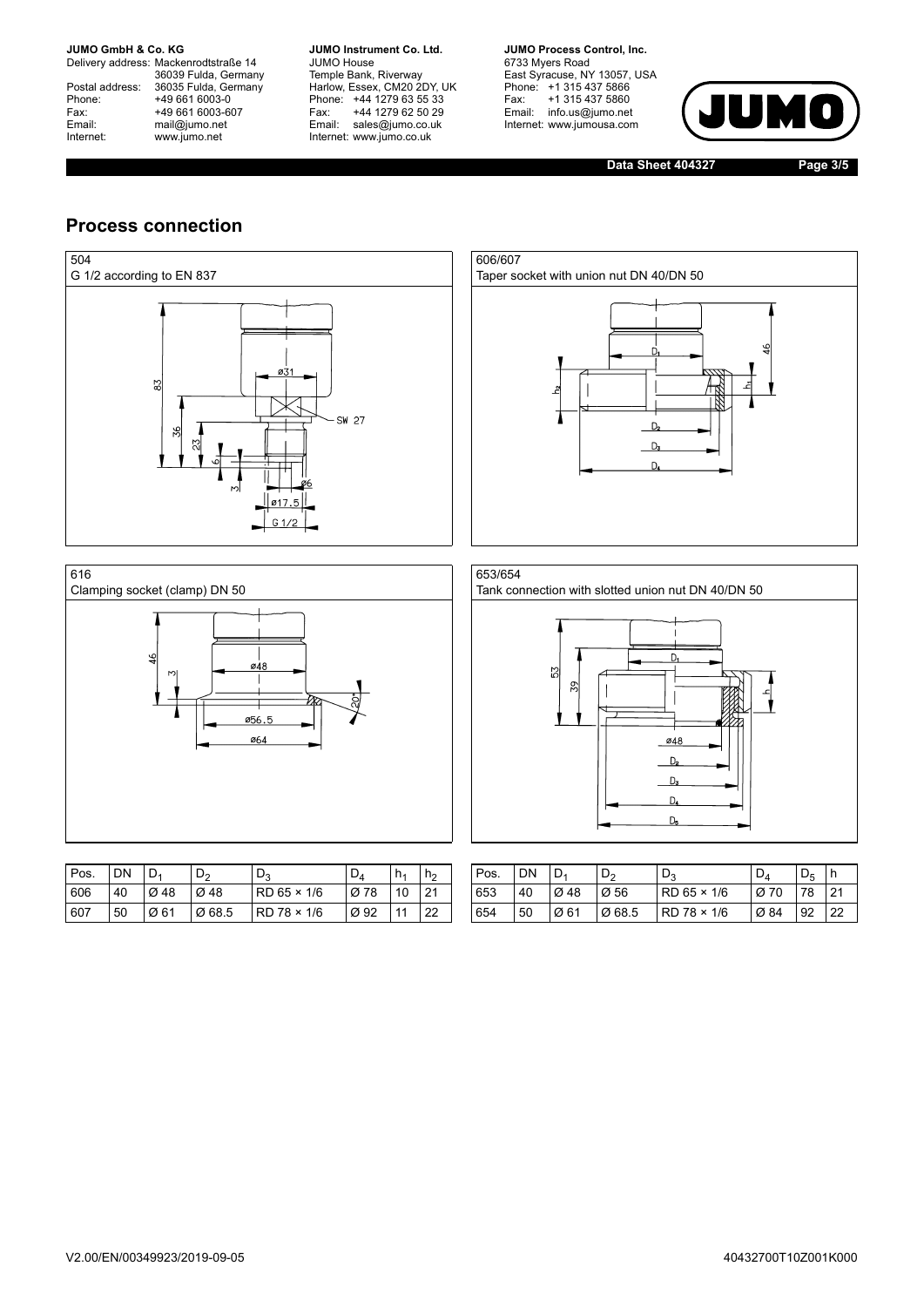**JUMO GmbH & Co. KG** 

Delivery address: Mackenrodtstraße 14 36039 Fulda, Germany<br>Postal address: 36035 Fulda, Germany Phone: +49 661 6003-0<br>
Fax: +49 661 6003-6<br>
Email: mail@jumo.net +49 661 6003-607 Email: mail@jumo.net<br>Internet: www.iumo.net www.jumo.net

**JUMO Instrument Co. Ltd.** JUMO House Temple Bank, Riverway<br>Harlow, Essex, CM20 2DY, UK Phone: +44 1279 63 55 33<br>Fax: +44 1279 62 50 29 +44 1279 62 50 29 Email: sales@jumo.co.uk Internet: www.jumo.co.uk

**JUMO Process Control, Inc.** 6733 Myers Road East Syracuse, NY 13057, USA<br>Phone: +1 315 437 5866<br>Fax: +1 315 437 5860 Email: info.us@jumo.net Internet: www.jumousa.com



**Data Sheet 404327 Page 3/5**

## **Process connection**

¥







| Pos. | DN | D <sub>1</sub> | D <sub>2</sub> | ്ദ                   | $D_A$ | h <sub>1</sub> | h۵ | Pos. | DN | D.   | D <sub>2</sub> | ്ദ          | υĀ   | Dς | ı h |
|------|----|----------------|----------------|----------------------|-------|----------------|----|------|----|------|----------------|-------------|------|----|-----|
| 606  | 40 | Ø 48           | Ø 48           | $RD$ 65 $\times$ 1/6 | Ø 78  | 10             | 21 | 653  | 40 | Ø 48 | Ø56            | RD 65 × 1/6 | Ø 70 | 78 | 21  |
| 607  | 50 | Ø 61           | Ø 68.5         | $RD$ 78 $\times$ 1/6 | Ø 92  | 11             | 22 | 654  | 50 | Ø 61 | Ø 68.5         | RD 78 × 1/6 | Ø 84 | 92 | 22  |

ø48

056.5 ø64

| Pos. | <b>DN</b> | $ D_1 $          | D,               | $D_3$                | $D_A$ | D <sub>5</sub> |    |
|------|-----------|------------------|------------------|----------------------|-------|----------------|----|
| 653  | 40        | $\varnothing$ 48 | $\varnothing$ 56 | $RD$ 65 $\times$ 1/6 | Ø 70  | 78 21          |    |
| 654  | 50        | Ø 61             | Ø 68.5           | RD 78 × 1/6          | Ø 84  | 92             | 22 |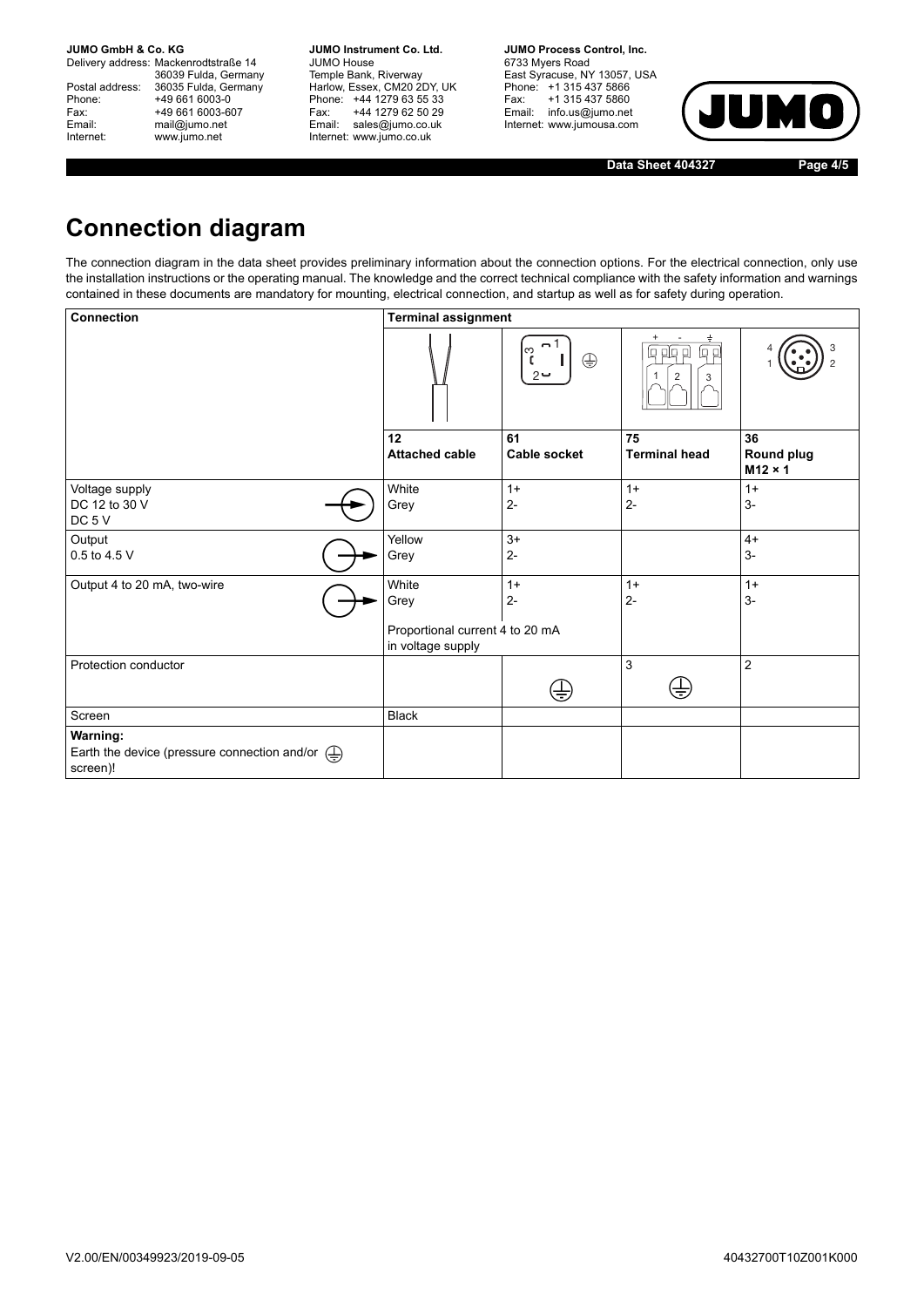**JUMO GmbH & Co. KG.** 

Delivery address: Mackenrodtstraße 14 36039 Fulda, Germany<br>Postal address: 36035 Fulda, Germany Phone: +49 661 6003-0<br>
Fax: +49 661 6003-6<br>
Email: mail@jumo.net +49 661 6003-607 mail@jumo.net Internet: www.jumo.net

**JUMO Instrument Co. Ltd.** JUMO House Temple Bank, Riverway<br>Harlow, Essex, CM20 2DY, UK Phone: +44 1279 63 55 33<br>Fax: +44 1279 62 50 29 +44 1279 62 50 29 Email: sales@jumo.co.uk Internet: www.jumo.co.uk

**JUMO Process Control, Inc.** 6733 Myers Road East Syracuse, NY 13057, USA Phone: +1 315 437 5866<br>Fax: +1 315 437 5860 Email: info.us@jumo.net Internet: www.jumousa.com



**Data Sheet 404327 Page 4/5**

## **Connection diagram**

The connection diagram in the data sheet provides preliminary information about the connection options. For the electrical connection, only use the installation instructions or the operating manual. The knowledge and the correct technical compliance with the safety information and warnings contained in these documents are mandatory for mounting, electrical connection, and startup as well as for safety during operation.

| <b>Connection</b>                                                                                                | <b>Terminal assignment</b>                           |                                     |                                     |                                    |  |  |  |  |  |  |
|------------------------------------------------------------------------------------------------------------------|------------------------------------------------------|-------------------------------------|-------------------------------------|------------------------------------|--|--|--|--|--|--|
|                                                                                                                  |                                                      | $-1$<br>က<br>$\oplus$<br>C<br>$2 -$ | $\div$<br>回<br>越 민<br>4 日<br>2<br>3 |                                    |  |  |  |  |  |  |
|                                                                                                                  | 12<br><b>Attached cable</b>                          | 61<br>Cable socket                  | 75<br><b>Terminal head</b>          | 36<br>Round plug<br>$M12 \times 1$ |  |  |  |  |  |  |
| Voltage supply<br>DC 12 to 30 V<br>DC <sub>5</sub> V                                                             | White<br>Grey                                        | $1+$<br>$2-$                        | $1+$<br>$2 -$                       | $1+$<br>$3-$                       |  |  |  |  |  |  |
| Output<br>0.5 to 4.5 V                                                                                           | Yellow<br>Grey                                       | $3+$<br>$2 -$                       |                                     | $4+$<br>$3-$                       |  |  |  |  |  |  |
| Output 4 to 20 mA, two-wire                                                                                      | White<br>Grey                                        | $1+$<br>$2-$                        | $1+$<br>$2 -$                       | $1+$<br>$3-$                       |  |  |  |  |  |  |
|                                                                                                                  | Proportional current 4 to 20 mA<br>in voltage supply |                                     |                                     |                                    |  |  |  |  |  |  |
| Protection conductor                                                                                             |                                                      | ₩                                   | 3<br>₩                              | $\overline{2}$                     |  |  |  |  |  |  |
| Screen                                                                                                           | <b>Black</b>                                         |                                     |                                     |                                    |  |  |  |  |  |  |
| <b>Warning:</b><br>Earth the device (pressure connection and/or $\left(\frac{\Gamma}{\Gamma}\right)$<br>screen)! |                                                      |                                     |                                     |                                    |  |  |  |  |  |  |